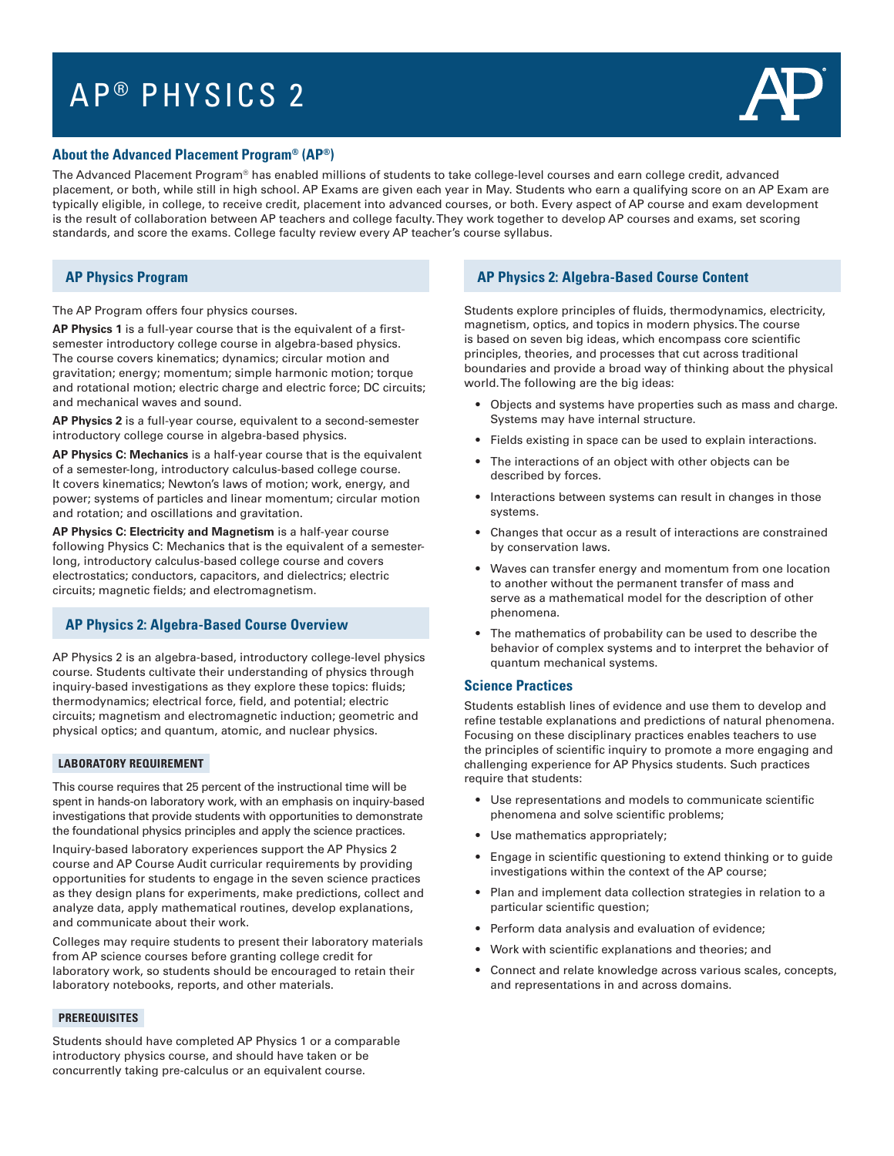# AP ® PHYSICS 2



### **About the Advanced Placement Program® (AP®)**

The Advanced Placement Program® has enabled millions of students to take college-level courses and earn college credit, advanced placement, or both, while still in high school. AP Exams are given each year in May. Students who earn a qualifying score on an AP Exam are typically eligible, in college, to receive credit, placement into advanced courses, or both. Every aspect of AP course and exam development is the result of collaboration between AP teachers and college faculty. They work together to develop AP courses and exams, set scoring standards, and score the exams. College faculty review every AP teacher's course syllabus.

# **AP Physics Program**

The AP Program offers four physics courses.

**AP Physics 1** is a full-year course that is the equivalent of a first semester introductory college course in algebra-based physics. The course covers kinematics; dynamics; circular motion and gravitation; energy; momentum; simple harmonic motion; torque and rotational motion; electric charge and electric force; DC circuits; and mechanical waves and sound.

**AP Physics 2** is a full-year course, equivalent to a second-semester introductory college course in algebra-based physics.

**AP Physics C: Mechanics** is a half-year course that is the equivalent of a semester-long, introductory calculus-based college course. It covers kinematics; Newton's laws of motion; work, energy, and power; systems of particles and linear momentum; circular motion and rotation; and oscillations and gravitation.

**AP Physics C: Electricity and Magnetism** is a half-year course following Physics C: Mechanics that is the equivalent of a semesterlong, introductory calculus-based college course and covers electrostatics; conductors, capacitors, and dielectrics; electric circuits; magnetic fields; and electromagnetism.

# **AP Physics 2: Algebra-Based Course Overview**

AP Physics 2 is an algebra-based, introductory college-level physics course. Students cultivate their understanding of physics through inquiry-based investigations as they explore these topics: fluids; thermodynamics; electrical force, field, and potential; electric circuits; magnetism and electromagnetic induction; geometric and physical optics; and quantum, atomic, and nuclear physics.

#### **LABORATORY REQUIREMENT**

This course requires that 25 percent of the instructional time will be spent in hands-on laboratory work, with an emphasis on inquiry-based investigations that provide students with opportunities to demonstrate the foundational physics principles and apply the science practices.

Inquiry-based laboratory experiences support the AP Physics 2 course and AP Course Audit curricular requirements by providing opportunities for students to engage in the seven science practices as they design plans for experiments, make predictions, collect and analyze data, apply mathematical routines, develop explanations, and communicate about their work.

Colleges may require students to present their laboratory materials from AP science courses before granting college credit for laboratory work, so students should be encouraged to retain their laboratory notebooks, reports, and other materials.

#### **PREREQUISITES**

Students should have completed AP Physics 1 or a comparable introductory physics course, and should have taken or be concurrently taking pre-calculus or an equivalent course.

## **AP Physics 2: Algebra-Based Course Content**

Students explore principles of fluids, thermodynamics, electricity, magnetism, optics, and topics in modern physics. The course is based on seven big ideas, which encompass core scientific principles, theories, and processes that cut across traditional boundaries and provide a broad way of thinking about the physical world. The following are the big ideas:

- Objects and systems have properties such as mass and charge. Systems may have internal structure.
- Fields existing in space can be used to explain interactions.
- The interactions of an object with other objects can be described by forces.
- Interactions between systems can result in changes in those systems.
- Changes that occur as a result of interactions are constrained by conservation laws.
- Waves can transfer energy and momentum from one location to another without the permanent transfer of mass and serve as a mathematical model for the description of other phenomena.
- • The mathematics of probability can be used to describe the behavior of complex systems and to interpret the behavior of quantum mechanical systems.

#### **Science Practices**

Students establish lines of evidence and use them to develop and refine testable explanations and predictions of natural phenomena. Focusing on these disciplinary practices enables teachers to use the principles of scientific inquiry to promote a more engaging and challenging experience for AP Physics students. Such practices require that students:

- Use representations and models to communicate scientific phenomena and solve scientific problems;
- Use mathematics appropriately;
- • Engage in scientific questioning to extend thinking or to guide investigations within the context of the AP course;
- Plan and implement data collection strategies in relation to a particular scientific question;
- Perform data analysis and evaluation of evidence;
- Work with scientific explanations and theories; and
- Connect and relate knowledge across various scales, concepts, and representations in and across domains.